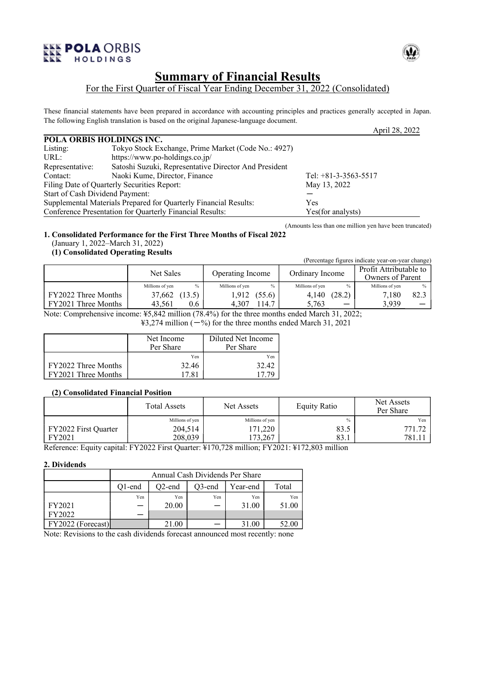

# **Summary of Financial Results**

# For the First Quarter of Fiscal Year Ending December 31, 2022 (Consolidated)

These financial statements have been prepared in accordance with accounting principles and practices generally accepted in Japan. The following English translation is based on the original Japanese-language document.

|                                 |                                                                  | $1$ speed $20.70$      |
|---------------------------------|------------------------------------------------------------------|------------------------|
| POLA ORBIS HOLDINGS INC.        |                                                                  |                        |
| Listing:                        | Tokyo Stock Exchange, Prime Market (Code No.: 4927)              |                        |
| URL:                            | https://www.po-holdings.co.jp/                                   |                        |
| Representative:                 | Satoshi Suzuki, Representative Director And President            |                        |
| Contact:                        | Naoki Kume, Director, Finance                                    | Tel: $+81-3-3563-5517$ |
|                                 | Filing Date of Quarterly Securities Report:                      | May 13, 2022           |
| Start of Cash Dividend Payment: |                                                                  |                        |
|                                 | Supplemental Materials Prepared for Quarterly Financial Results: | Yes                    |
|                                 | Conference Presentation for Quarterly Financial Results:         | Yes(for analysts)      |

(Amounts less than one million yen have been truncated)

## **1. Consolidated Performance for the First Three Months of Fiscal 2022** (January 1, 2022–March 31, 2022)

# **(1) Consolidated Operating Results**

| $(1)$ componented operating respective |                 |        | (Percentage figures indicate year-on-year change) |        |                 |               |                                            |      |
|----------------------------------------|-----------------|--------|---------------------------------------------------|--------|-----------------|---------------|--------------------------------------------|------|
|                                        | Net Sales       |        | Operating Income                                  |        | Ordinary Income |               | Profit Attributable to<br>Owners of Parent |      |
|                                        | Millions of yen | $\%$   | Millions of yen                                   | $\%$   | Millions of yen | $\frac{0}{0}$ | Millions of yen                            | $\%$ |
| FY2022 Three Months                    | 37,662          | (13.5) | 1,912                                             | (55.6) | 4,140           | (28.2)        | 7,180                                      | 82.3 |
| FY2021 Three Months                    | 43.561          | 0.6    | 4.307                                             | 114.7  | 5.763           | —             | 3.939                                      |      |

Note: Comprehensive income: ¥5,842 million (78.4%) for the three months ended March 31, 2022;

 $\text{\textsterling}3,274$  million ( $-$ %) for the three months ended March 31, 2021

|                     | Net Income | Diluted Net Income |
|---------------------|------------|--------------------|
|                     | Per Share  | Per Share          |
|                     | Yen        | Yen                |
| FY2022 Three Months | 32.46      | 32.42              |
| FY2021 Three Months | 17 81      |                    |

## **(2) Consolidated Financial Position**

|                      | <b>Total Assets</b> | Net Assets      | <b>Equity Ratio</b> | Net Assets<br>Per Share |
|----------------------|---------------------|-----------------|---------------------|-------------------------|
|                      | Millions of yen     | Millions of yen | $\frac{0}{0}$       | Yen                     |
| FY2022 First Quarter | 204,514             | 171,220         | 83.5                | 771.72                  |
| FY2021               | 208,039             | 173,267         | 83.1                | 781.11                  |

Reference: Equity capital: FY2022 First Quarter: ¥170,728 million; FY2021: ¥172,803 million

## **2. Dividends**

|                   | Annual Cash Dividends Per Share |                                          |     |       |       |  |  |  |
|-------------------|---------------------------------|------------------------------------------|-----|-------|-------|--|--|--|
|                   | O1-end                          | $O2$ -end<br>Total<br>O3-end<br>Year-end |     |       |       |  |  |  |
|                   | Yen                             | Yen                                      | Yen | Yen   | Yen   |  |  |  |
| FY2021            |                                 | 20.00                                    |     | 31.00 | 51.00 |  |  |  |
| FY2022            |                                 |                                          |     |       |       |  |  |  |
| FY2022 (Forecast) |                                 |                                          |     |       |       |  |  |  |

Note: Revisions to the cash dividends forecast announced most recently: none



April 28, 2022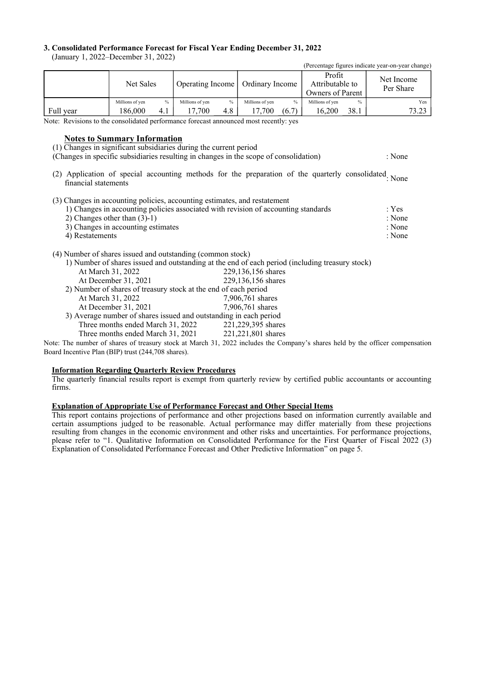### **3. Consolidated Performance Forecast for Fiscal Year Ending December 31, 2022**

(January 1, 2022–December 31, 2022)

|           |                 |      |                  |      |                 |       |                                               |               | (Percentage figures indicate year-on-year change) |
|-----------|-----------------|------|------------------|------|-----------------|-------|-----------------------------------------------|---------------|---------------------------------------------------|
|           | Net Sales       |      | Operating Income |      | Ordinary Income |       | Profit<br>Attributable to<br>Owners of Parent |               | Net Income<br>Per Share                           |
|           | Millions of yen | $\%$ | Millions of yen  | $\%$ | Millions of yen | $\%$  | Millions of yen                               | $\frac{0}{0}$ | Yen                                               |
| Full year | 186.000         | 4.1  | 17.700           | 4.8  | 17.700          | (6.7) | 16.200                                        | 38.1          | 73.23                                             |

Note: Revisions to the consolidated performance forecast announced most recently: yes

### **Notes to Summary Information**

(1) Changes in significant subsidiaries during the current period

(Changes in specific subsidiaries resulting in changes in the scope of consolidation) : None

(2) Application of special accounting methods for the preparation of the quarterly consolidated None financial statements

(3) Changes in accounting policies, accounting estimates, and restatement

| 1) Changes in accounting policies associated with revision of accounting standards | : Yes  |
|------------------------------------------------------------------------------------|--------|
| 2) Changes other than $(3)-1$                                                      | : None |
| 3) Changes in accounting estimates                                                 | : None |
| 4) Restatements                                                                    | : None |

(4) Number of shares issued and outstanding (common stock)

|                                                                   | 1) Number of shares issued and outstanding at the end of each period (including treasury stock) |
|-------------------------------------------------------------------|-------------------------------------------------------------------------------------------------|
| At March 31, 2022                                                 | 229,136,156 shares                                                                              |
| At December 31, 2021                                              | 229,136,156 shares                                                                              |
| 2) Number of shares of treasury stock at the end of each period   |                                                                                                 |
| At March 31, 2022                                                 | 7,906,761 shares                                                                                |
| At December 31, 2021                                              | 7,906,761 shares                                                                                |
| 3) Average number of shares issued and outstanding in each period |                                                                                                 |
| Three months ended March 31, 2022                                 | 221,229,395 shares                                                                              |
| Three months ended March 31, 2021                                 | 221,221,801 shares                                                                              |
|                                                                   |                                                                                                 |

Note: The number of shares of treasury stock at March 31, 2022 includes the Company's shares held by the officer compensation Board Incentive Plan (BIP) trust (244,708 shares).

# **Information Regarding Quarterly Review Procedures**

The quarterly financial results report is exempt from quarterly review by certified public accountants or accounting firms.

### **Explanation of Appropriate Use of Performance Forecast and Other Special Items**

This report contains projections of performance and other projections based on information currently available and certain assumptions judged to be reasonable. Actual performance may differ materially from these projections resulting from changes in the economic environment and other risks and uncertainties. For performance projections, please refer to "1. Qualitative Information on Consolidated Performance for the First Quarter of Fiscal 2022 (3) Explanation of Consolidated Performance Forecast and Other Predictive Information" on page 5.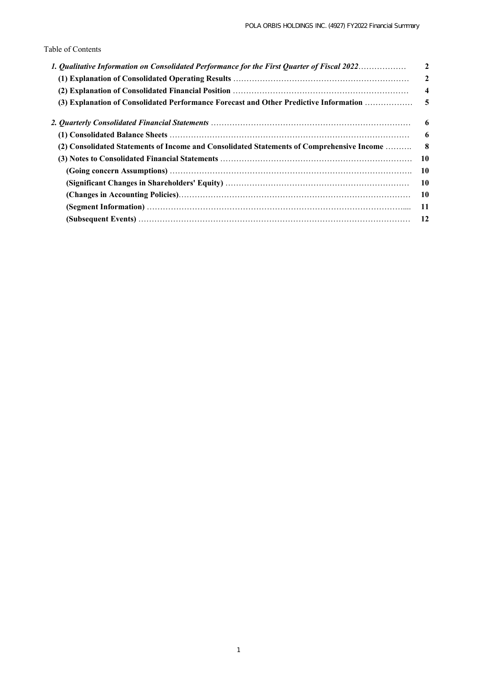# Table of Contents

| 1. Qualitative Information on Consolidated Performance for the First Quarter of Fiscal 2022 | $\overline{2}$          |
|---------------------------------------------------------------------------------------------|-------------------------|
|                                                                                             | $\overline{2}$          |
|                                                                                             | $\overline{\mathbf{4}}$ |
| (3) Explanation of Consolidated Performance Forecast and Other Predictive Information       | - 5                     |
|                                                                                             | -6                      |
|                                                                                             | -6                      |
| (2) Consolidated Statements of Income and Consolidated Statements of Comprehensive Income   | -8                      |
|                                                                                             | - 10                    |
|                                                                                             | - 10                    |
|                                                                                             | -10                     |
|                                                                                             | -10                     |
|                                                                                             | -11                     |
|                                                                                             | -12                     |
|                                                                                             |                         |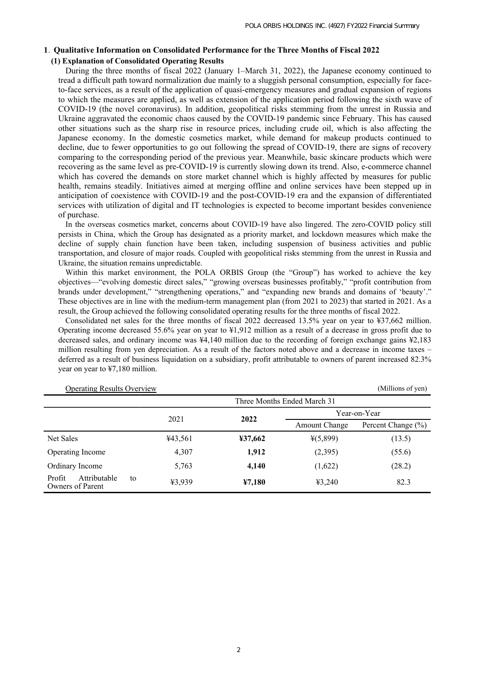## **1**.**Qualitative Information on Consolidated Performance for the Three Months of Fiscal 2022 (1) Explanation of Consolidated Operating Results**

During the three months of fiscal 2022 (January 1–March 31, 2022), the Japanese economy continued to tread a difficult path toward normalization due mainly to a sluggish personal consumption, especially for faceto-face services, as a result of the application of quasi-emergency measures and gradual expansion of regions to which the measures are applied, as well as extension of the application period following the sixth wave of COVID-19 (the novel coronavirus). In addition, geopolitical risks stemming from the unrest in Russia and Ukraine aggravated the economic chaos caused by the COVID-19 pandemic since February. This has caused other situations such as the sharp rise in resource prices, including crude oil, which is also affecting the Japanese economy. In the domestic cosmetics market, while demand for makeup products continued to decline, due to fewer opportunities to go out following the spread of COVID-19, there are signs of recovery comparing to the corresponding period of the previous year. Meanwhile, basic skincare products which were recovering as the same level as pre-COVID-19 is currently slowing down its trend. Also, e-commerce channel which has covered the demands on store market channel which is highly affected by measures for public health, remains steadily. Initiatives aimed at merging offline and online services have been stepped up in anticipation of coexistence with COVID-19 and the post-COVID-19 era and the expansion of differentiated services with utilization of digital and IT technologies is expected to become important besides convenience of purchase.

In the overseas cosmetics market, concerns about COVID-19 have also lingered. The zero-COVID policy still persists in China, which the Group has designated as a priority market, and lockdown measures which make the decline of supply chain function have been taken, including suspension of business activities and public transportation, and closure of major roads. Coupled with geopolitical risks stemming from the unrest in Russia and Ukraine, the situation remains unpredictable.

Within this market environment, the POLA ORBIS Group (the "Group") has worked to achieve the key objectives—"evolving domestic direct sales," "growing overseas businesses profitably," "profit contribution from brands under development," "strengthening operations," and "expanding new brands and domains of 'beauty'." These objectives are in line with the medium-term management plan (from 2021 to 2023) that started in 2021. As a result, the Group achieved the following consolidated operating results for the three months of fiscal 2022.

Consolidated net sales for the three months of fiscal 2022 decreased 13.5% year on year to ¥37,662 million. Operating income decreased 55.6% year on year to ¥1,912 million as a result of a decrease in gross profit due to decreased sales, and ordinary income was ¥4,140 million due to the recording of foreign exchange gains ¥2,183 million resulting from yen depreciation. As a result of the factors noted above and a decrease in income taxes – deferred as a result of business liquidation on a subsidiary, profit attributable to owners of parent increased 82.3% year on year to ¥7,180 million.

| <b>Operating Results Overview</b>                |                             |         |                      | (Millions of yen)  |  |  |  |
|--------------------------------------------------|-----------------------------|---------|----------------------|--------------------|--|--|--|
|                                                  | Three Months Ended March 31 |         |                      |                    |  |  |  |
|                                                  | 2021                        | 2022    |                      | Year-on-Year       |  |  |  |
|                                                  |                             |         | <b>Amount Change</b> | Percent Change (%) |  |  |  |
| Net Sales                                        | ¥43,561                     | ¥37,662 | $*(5,899)$           | (13.5)             |  |  |  |
| Operating Income                                 | 4,307                       | 1,912   | (2,395)              | (55.6)             |  |  |  |
| Ordinary Income                                  | 5,763                       | 4,140   | (1,622)              | (28.2)             |  |  |  |
| Profit<br>Attributable<br>to<br>Owners of Parent | ¥3,939                      | 47,180  | 43,240               | 82.3               |  |  |  |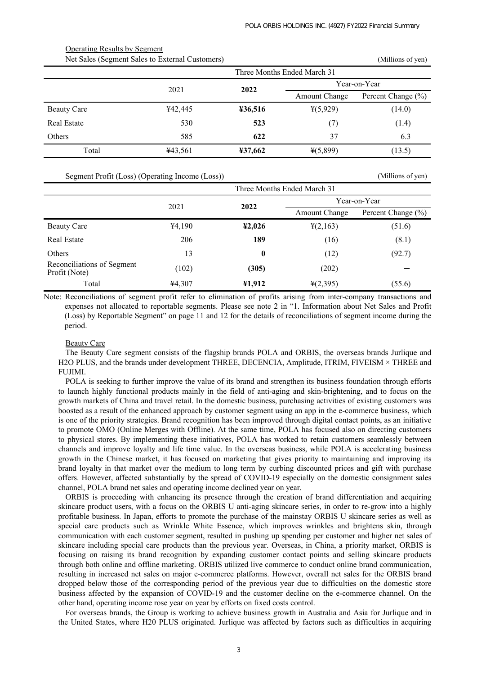|                    | Net Sales (Segment Sales to External Customers) |         | (Millions of yen)           |                    |
|--------------------|-------------------------------------------------|---------|-----------------------------|--------------------|
|                    |                                                 |         | Three Months Ended March 31 |                    |
|                    | 2021                                            |         | Year-on-Year                |                    |
|                    |                                                 | 2022    | <b>Amount Change</b>        | Percent Change (%) |
| <b>Beauty Care</b> | ¥42,445                                         | ¥36,516 | 4(5,929)                    | (14.0)             |
| Real Estate        | 530                                             | 523     | (7)                         | (1.4)              |
| Others             | 585                                             | 622     | 37                          | 6.3                |
| Total              | ¥43,561                                         | ¥37,662 | $*(5,899)$                  | (13.5)             |

Segment Profit (Loss) (Operating Income (Loss)) (Millions of yen)

Operating Results by Segment

|                                             | Three Months Ended March 31 |        |                      |                    |  |
|---------------------------------------------|-----------------------------|--------|----------------------|--------------------|--|
|                                             | 2021                        | 2022   | Year-on-Year         |                    |  |
|                                             |                             |        | <b>Amount Change</b> | Percent Change (%) |  |
| Beauty Care                                 | ¥4,190                      | 42,026 | $\frac{1}{2}(2,163)$ | (51.6)             |  |
| Real Estate                                 | 206                         | 189    | (16)                 | (8.1)              |  |
| Others                                      | 13                          | 0      | (12)                 | (92.7)             |  |
| Reconciliations of Segment<br>Profit (Note) | (102)                       | (305)  | (202)                |                    |  |
| Total                                       | ¥4,307                      | ¥1,912 | $\frac{1}{2}(2,395)$ | (55.6)             |  |

Note: Reconciliations of segment profit refer to elimination of profits arising from inter-company transactions and expenses not allocated to reportable segments. Please see note 2 in "1. Information about Net Sales and Profit (Loss) by Reportable Segment" on page 11 and 12 for the details of reconciliations of segment income during the period.

#### Beauty Care

The Beauty Care segment consists of the flagship brands POLA and ORBIS, the overseas brands Jurlique and H2O PLUS, and the brands under development THREE, DECENCIA, Amplitude, ITRIM, FIVEISM × THREE and **FUJIMI** 

POLA is seeking to further improve the value of its brand and strengthen its business foundation through efforts to launch highly functional products mainly in the field of anti-aging and skin-brightening, and to focus on the growth markets of China and travel retail. In the domestic business, purchasing activities of existing customers was boosted as a result of the enhanced approach by customer segment using an app in the e-commerce business, which is one of the priority strategies. Brand recognition has been improved through digital contact points, as an initiative to promote OMO (Online Merges with Offline). At the same time, POLA has focused also on directing customers to physical stores. By implementing these initiatives, POLA has worked to retain customers seamlessly between channels and improve loyalty and life time value. In the overseas business, while POLA is accelerating business growth in the Chinese market, it has focused on marketing that gives priority to maintaining and improving its brand loyalty in that market over the medium to long term by curbing discounted prices and gift with purchase offers. However, affected substantially by the spread of COVID-19 especially on the domestic consignment sales channel, POLA brand net sales and operating income declined year on year.

ORBIS is proceeding with enhancing its presence through the creation of brand differentiation and acquiring skincare product users, with a focus on the ORBIS U anti-aging skincare series, in order to re-grow into a highly profitable business. In Japan, efforts to promote the purchase of the mainstay ORBIS U skincare series as well as special care products such as Wrinkle White Essence, which improves wrinkles and brightens skin, through communication with each customer segment, resulted in pushing up spending per customer and higher net sales of skincare including special care products than the previous year. Overseas, in China, a priority market, ORBIS is focusing on raising its brand recognition by expanding customer contact points and selling skincare products through both online and offline marketing. ORBIS utilized live commerce to conduct online brand communication, resulting in increased net sales on major e-commerce platforms. However, overall net sales for the ORBIS brand dropped below those of the corresponding period of the previous year due to difficulties on the domestic store business affected by the expansion of COVID-19 and the customer decline on the e-commerce channel. On the other hand, operating income rose year on year by efforts on fixed costs control.

For overseas brands, the Group is working to achieve business growth in Australia and Asia for Jurlique and in the United States, where H20 PLUS originated. Jurlique was affected by factors such as difficulties in acquiring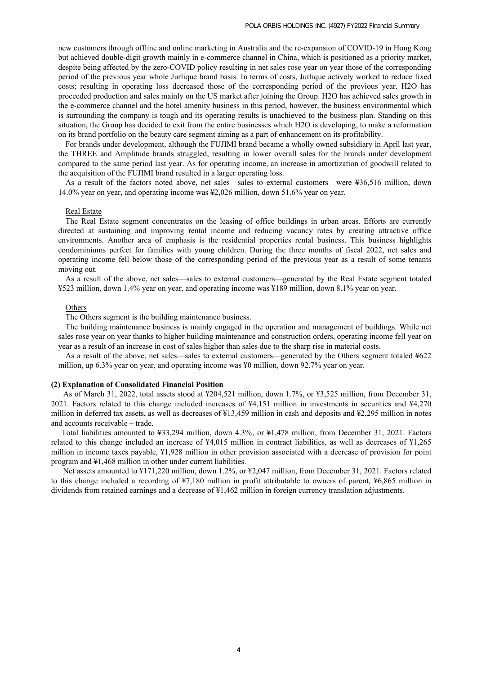new customers through offline and online marketing in Australia and the re-expansion of COVID-19 in Hong Kong but achieved double-digit growth mainly in e-commerce channel in China, which is positioned as a priority market, despite being affected by the zero-COVID policy resulting in net sales rose year on year those of the corresponding period of the previous year whole Jurlique brand basis. In terms of costs, Jurlique actively worked to reduce fixed costs; resulting in operating loss decreased those of the corresponding period of the previous year. H2O has proceeded production and sales mainly on the US market after joining the Group. H2O has achieved sales growth in the e-commerce channel and the hotel amenity business in this period, however, the business environmental which is surrounding the company is tough and its operating results is unachieved to the business plan. Standing on this situation, the Group has decided to exit from the entire businesses which H2O is developing, to make a reformation on its brand portfolio on the beauty care segment aiming as a part of enhancement on its profitability.

For brands under development, although the FUJIMI brand became a wholly owned subsidiary in April last year, the THREE and Amplitude brands struggled, resulting in lower overall sales for the brands under development compared to the same period last year. As for operating income, an increase in amortization of goodwill related to the acquisition of the FUJIMI brand resulted in a larger operating loss.

As a result of the factors noted above, net sales—sales to external customers—were ¥36,516 million, down 14.0% year on year, and operating income was ¥2,026 million, down 51.6% year on year.

### Real Estate

The Real Estate segment concentrates on the leasing of office buildings in urban areas. Efforts are currently directed at sustaining and improving rental income and reducing vacancy rates by creating attractive office environments. Another area of emphasis is the residential properties rental business. This business highlights condominiums perfect for families with young children. During the three months of fiscal 2022, net sales and operating income fell below those of the corresponding period of the previous year as a result of some tenants moving out.

As a result of the above, net sales—sales to external customers—generated by the Real Estate segment totaled ¥523 million, down 1.4% year on year, and operating income was ¥189 million, down 8.1% year on year.

#### **Others**

The Others segment is the building maintenance business.

The building maintenance business is mainly engaged in the operation and management of buildings. While net sales rose year on year thanks to higher building maintenance and construction orders, operating income fell year on year as a result of an increase in cost of sales higher than sales due to the sharp rise in material costs.

As a result of the above, net sales—sales to external customers—generated by the Others segment totaled ¥622 million, up 6.3% year on year, and operating income was ¥0 million, down 92.7% year on year.

#### **(2) Explanation of Consolidated Financial Position**

 As of March 31, 2022, total assets stood at ¥204,521 million, down 1.7%, or ¥3,525 million, from December 31, 2021. Factors related to this change included increases of ¥4,151 million in investments in securities and ¥4,270 million in deferred tax assets, as well as decreases of ¥13,459 million in cash and deposits and ¥2,295 million in notes and accounts receivable – trade.

 Total liabilities amounted to ¥33,294 million, down 4.3%, or ¥1,478 million, from December 31, 2021. Factors related to this change included an increase of ¥4,015 million in contract liabilities, as well as decreases of ¥1,265 million in income taxes payable, ¥1,928 million in other provision associated with a decrease of provision for point program and ¥1,468 million in other under current liabilities.

 Net assets amounted to ¥171,220 million, down 1.2%, or ¥2,047 million, from December 31, 2021. Factors related to this change included a recording of ¥7,180 million in profit attributable to owners of parent, ¥6,865 million in dividends from retained earnings and a decrease of ¥1,462 million in foreign currency translation adjustments.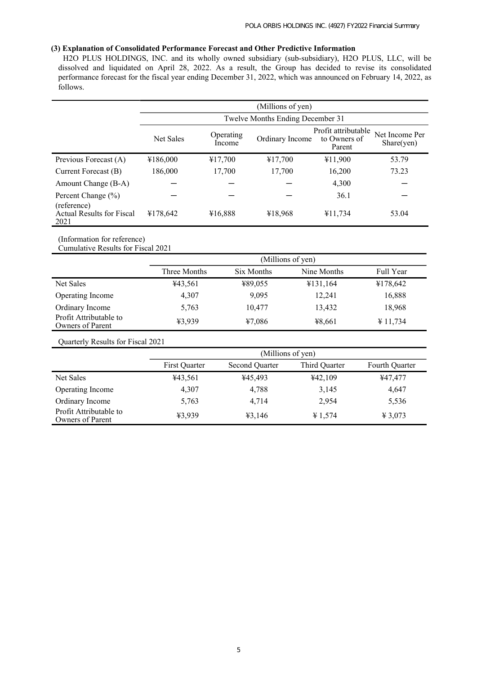# **(3) Explanation of Consolidated Performance Forecast and Other Predictive Information**

 H2O PLUS HOLDINGS, INC. and its wholly owned subsidiary (sub-subsidiary), H2O PLUS, LLC, will be dissolved and liquidated on April 28, 2022. As a result, the Group has decided to revise its consolidated performance forecast for the fiscal year ending December 31, 2022, which was announced on February 14, 2022, as follows.

|                                                         | (Millions of yen) |                                  |                 |                                               |                              |  |  |  |
|---------------------------------------------------------|-------------------|----------------------------------|-----------------|-----------------------------------------------|------------------------------|--|--|--|
|                                                         |                   | Twelve Months Ending December 31 |                 |                                               |                              |  |  |  |
|                                                         | <b>Net Sales</b>  | Operating<br>Income              | Ordinary Income | Profit attributable<br>to Owners of<br>Parent | Net Income Per<br>Share(yen) |  |  |  |
| Previous Forecast (A)                                   | ¥186,000          | ¥17,700                          | ¥17,700         | ¥11,900                                       | 53.79                        |  |  |  |
| Current Forecast (B)                                    | 186,000           | 17,700                           | 17,700          | 16,200                                        | 73.23                        |  |  |  |
| Amount Change (B-A)                                     |                   |                                  |                 | 4,300                                         |                              |  |  |  |
| Percent Change (%)                                      |                   |                                  |                 | 36.1                                          |                              |  |  |  |
| (reference)<br><b>Actual Results for Fiscal</b><br>2021 | ¥178,642          | ¥16,888                          | ¥18,968         | ¥11,734                                       | 53.04                        |  |  |  |

(Information for reference)

Cumulative Results for Fiscal 2021

|                                            | (Millions of yen) |            |             |           |  |  |
|--------------------------------------------|-------------------|------------|-------------|-----------|--|--|
|                                            | Three Months      | Six Months | Nine Months | Full Year |  |  |
| Net Sales                                  | ¥43,561           | ¥89,055    | ¥131,164    | ¥178,642  |  |  |
| Operating Income                           | 4,307             | 9,095      | 12,241      | 16,888    |  |  |
| Ordinary Income                            | 5,763             | 10,477     | 13,432      | 18,968    |  |  |
| Profit Attributable to<br>Owners of Parent | ¥3,939            | 47,086     | ¥8,661      | ¥ 11,734  |  |  |

Quarterly Results for Fiscal 2021

|                                            | (Millions of yen) |                |               |                |  |  |
|--------------------------------------------|-------------------|----------------|---------------|----------------|--|--|
|                                            | First Quarter     | Second Quarter | Third Quarter | Fourth Quarter |  |  |
| Net Sales                                  | ¥43,561           | ¥45,493        | 442,109       | ¥47,477        |  |  |
| Operating Income                           | 4,307             | 4,788          | 3,145         | 4,647          |  |  |
| Ordinary Income                            | 5,763             | 4,714          | 2,954         | 5,536          |  |  |
| Profit Attributable to<br>Owners of Parent | ¥3,939            | 43,146         | ¥ 1,574       | ¥ 3,073        |  |  |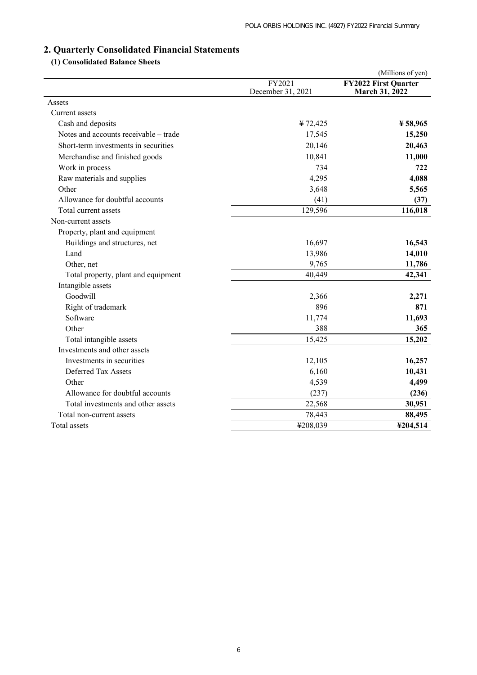# **2. Quarterly Consolidated Financial Statements**

# **(1) Consolidated Balance Sheets**

|                                       |                             | (Millions of yen)                             |
|---------------------------------------|-----------------------------|-----------------------------------------------|
|                                       | FY2021<br>December 31, 2021 | <b>FY2022 First Quarter</b><br>March 31, 2022 |
| Assets                                |                             |                                               |
| Current assets                        |                             |                                               |
| Cash and deposits                     | ¥72,425                     | $*58,965$                                     |
| Notes and accounts receivable – trade | 17,545                      | 15,250                                        |
| Short-term investments in securities  | 20,146                      | 20,463                                        |
| Merchandise and finished goods        | 10,841                      | 11,000                                        |
| Work in process                       | 734                         | 722                                           |
| Raw materials and supplies            | 4,295                       | 4,088                                         |
| Other                                 | 3,648                       | 5,565                                         |
| Allowance for doubtful accounts       | (41)                        | (37)                                          |
| Total current assets                  | 129,596                     | 116,018                                       |
| Non-current assets                    |                             |                                               |
| Property, plant and equipment         |                             |                                               |
| Buildings and structures, net         | 16,697                      | 16,543                                        |
| Land                                  | 13,986                      | 14,010                                        |
| Other, net                            | 9,765                       | 11,786                                        |
| Total property, plant and equipment   | 40,449                      | 42,341                                        |
| Intangible assets                     |                             |                                               |
| Goodwill                              | 2,366                       | 2,271                                         |
| Right of trademark                    | 896                         | 871                                           |
| Software                              | 11,774                      | 11,693                                        |
| Other                                 | 388                         | 365                                           |
| Total intangible assets               | 15,425                      | 15,202                                        |
| Investments and other assets          |                             |                                               |
| Investments in securities             | 12,105                      | 16,257                                        |
| Deferred Tax Assets                   | 6,160                       | 10,431                                        |
| Other                                 | 4,539                       | 4,499                                         |
| Allowance for doubtful accounts       | (237)                       | (236)                                         |
| Total investments and other assets    | 22,568                      | 30,951                                        |
| Total non-current assets              | 78,443                      | 88,495                                        |
| Total assets                          | ¥208,039                    | ¥204,514                                      |
|                                       |                             |                                               |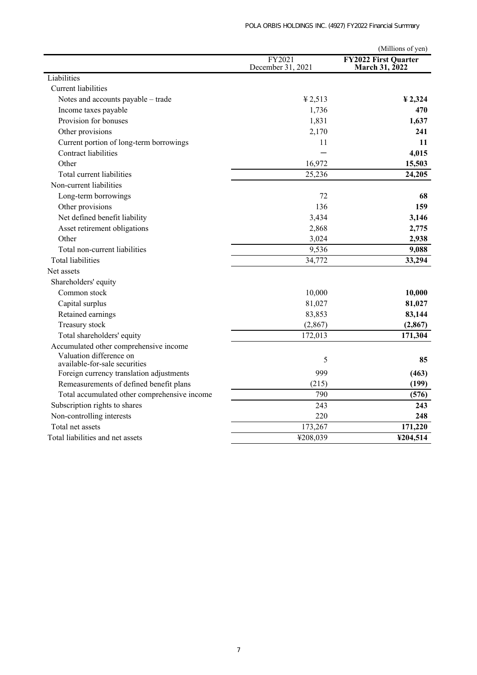|                                                          |                             | (Millions of yen)                             |
|----------------------------------------------------------|-----------------------------|-----------------------------------------------|
|                                                          | FY2021<br>December 31, 2021 | <b>FY2022 First Quarter</b><br>March 31, 2022 |
| Liabilities                                              |                             |                                               |
| <b>Current</b> liabilities                               |                             |                                               |
| Notes and accounts payable - trade                       | 42,513                      | $\frac{1}{2}$ , 2, 324                        |
| Income taxes payable                                     | 1,736                       | 470                                           |
| Provision for bonuses                                    | 1,831                       | 1,637                                         |
| Other provisions                                         | 2,170                       | 241                                           |
| Current portion of long-term borrowings                  | 11                          | 11                                            |
| <b>Contract liabilities</b>                              |                             | 4,015                                         |
| Other                                                    | 16,972                      | 15,503                                        |
| Total current liabilities                                | 25,236                      | 24,205                                        |
| Non-current liabilities                                  |                             |                                               |
| Long-term borrowings                                     | 72                          | 68                                            |
| Other provisions                                         | 136                         | 159                                           |
| Net defined benefit liability                            | 3,434                       | 3,146                                         |
| Asset retirement obligations                             | 2,868                       | 2,775                                         |
| Other                                                    | 3,024                       | 2,938                                         |
| Total non-current liabilities                            | 9,536                       | 9,088                                         |
| <b>Total liabilities</b>                                 | 34,772                      | 33,294                                        |
| Net assets                                               |                             |                                               |
| Shareholders' equity                                     |                             |                                               |
| Common stock                                             | 10,000                      | 10,000                                        |
| Capital surplus                                          | 81,027                      | 81,027                                        |
| Retained earnings                                        | 83,853                      | 83,144                                        |
| Treasury stock                                           | (2, 867)                    | (2, 867)                                      |
| Total shareholders' equity                               | 172,013                     | 171,304                                       |
| Accumulated other comprehensive income                   |                             |                                               |
| Valuation difference on<br>available-for-sale securities | 5                           | 85                                            |
| Foreign currency translation adjustments                 | 999                         | (463)                                         |
| Remeasurements of defined benefit plans                  | (215)                       | (199)                                         |
| Total accumulated other comprehensive income             | 790                         | (576)                                         |
| Subscription rights to shares                            | 243                         | 243                                           |
| Non-controlling interests                                | 220                         | 248                                           |
| Total net assets                                         | 173,267                     | 171,220                                       |
| Total liabilities and net assets                         | ¥208,039                    | ¥204,514                                      |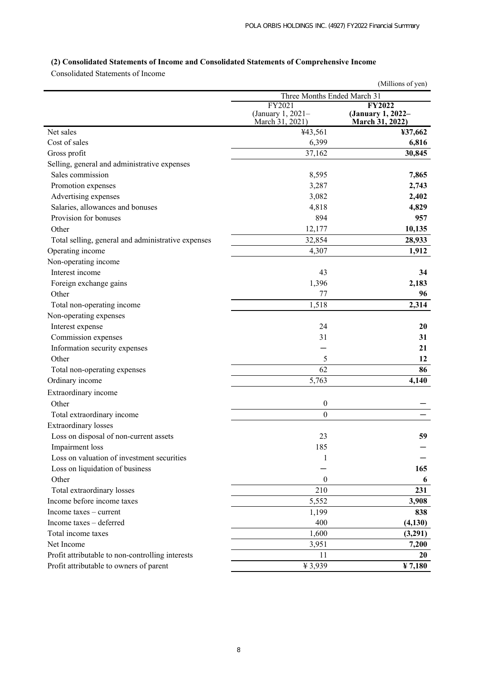# **(2) Consolidated Statements of Income and Consolidated Statements of Comprehensive Income**

Consolidated Statements of Income

|                                                    |                                                | (Millions of yen)                                     |  |
|----------------------------------------------------|------------------------------------------------|-------------------------------------------------------|--|
|                                                    | Three Months Ended March 31                    |                                                       |  |
|                                                    | FY2021<br>(January 1, 2021-<br>March 31, 2021) | <b>FY2022</b><br>(January 1, 2022-<br>March 31, 2022) |  |
| Net sales                                          | ¥43,561                                        | ¥37,662                                               |  |
| Cost of sales                                      | 6,399                                          | 6,816                                                 |  |
| Gross profit                                       | 37,162                                         | 30,845                                                |  |
| Selling, general and administrative expenses       |                                                |                                                       |  |
| Sales commission                                   | 8,595                                          | 7,865                                                 |  |
| Promotion expenses                                 | 3,287                                          | 2,743                                                 |  |
| Advertising expenses                               | 3,082                                          | 2,402                                                 |  |
| Salaries, allowances and bonuses                   | 4,818                                          | 4,829                                                 |  |
| Provision for bonuses                              | 894                                            | 957                                                   |  |
| Other                                              | 12,177                                         | 10,135                                                |  |
| Total selling, general and administrative expenses | 32,854                                         | 28,933                                                |  |
| Operating income                                   | 4,307                                          | 1,912                                                 |  |
| Non-operating income                               |                                                |                                                       |  |
| Interest income                                    | 43                                             | 34                                                    |  |
| Foreign exchange gains                             | 1,396                                          | 2,183                                                 |  |
| Other                                              | 77                                             | 96                                                    |  |
| Total non-operating income                         | 1,518                                          | 2,314                                                 |  |
| Non-operating expenses                             |                                                |                                                       |  |
| Interest expense                                   | 24                                             | 20                                                    |  |
| Commission expenses                                | 31                                             | 31                                                    |  |
| Information security expenses                      |                                                | 21                                                    |  |
| Other                                              | 5                                              | 12                                                    |  |
| Total non-operating expenses                       | 62                                             | 86                                                    |  |
| Ordinary income                                    | 5,763                                          | 4,140                                                 |  |
| Extraordinary income                               |                                                |                                                       |  |
| Other                                              | $\boldsymbol{0}$                               |                                                       |  |
| Total extraordinary income                         | $\boldsymbol{0}$                               |                                                       |  |
| <b>Extraordinary</b> losses                        |                                                |                                                       |  |
| Loss on disposal of non-current assets             | 23                                             | 59                                                    |  |
| Impairment loss                                    | 185                                            |                                                       |  |
| Loss on valuation of investment securities         | 1                                              |                                                       |  |
| Loss on liquidation of business                    |                                                | 165                                                   |  |
| Other                                              | $\boldsymbol{0}$                               | 6                                                     |  |
| Total extraordinary losses                         | 210                                            | 231                                                   |  |
| Income before income taxes                         | 5,552                                          | 3,908                                                 |  |
| Income $taxes$ – current                           | 1,199                                          | 838                                                   |  |
| Income taxes - deferred                            | 400                                            | (4,130)                                               |  |
| Total income taxes                                 | 1,600                                          | (3,291)                                               |  |
| Net Income                                         | 3,951                                          | 7,200                                                 |  |
| Profit attributable to non-controlling interests   | 11                                             | 20                                                    |  |
| Profit attributable to owners of parent            | ¥3,939                                         | ¥ 7,180                                               |  |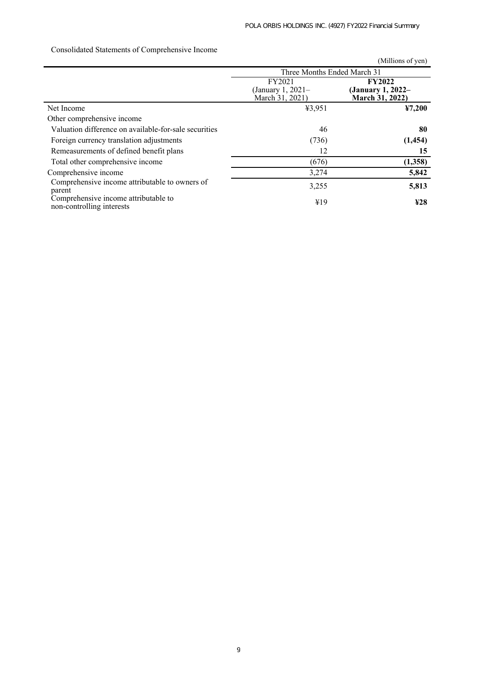|                                                                   |                                                | (Millions of yen)                                     |  |
|-------------------------------------------------------------------|------------------------------------------------|-------------------------------------------------------|--|
|                                                                   | Three Months Ended March 31                    |                                                       |  |
|                                                                   | FY2021<br>(January 1, 2021-<br>March 31, 2021) | <b>FY2022</b><br>(January 1, 2022–<br>March 31, 2022) |  |
| Net Income                                                        | ¥3,951                                         | 47,200                                                |  |
| Other comprehensive income                                        |                                                |                                                       |  |
| Valuation difference on available-for-sale securities             | 46                                             | 80                                                    |  |
| Foreign currency translation adjustments                          | (736)                                          | (1, 454)                                              |  |
| Remeasurements of defined benefit plans                           | 12                                             | 15                                                    |  |
| Total other comprehensive income                                  | (676)                                          | (1,358)                                               |  |
| Comprehensive income                                              | 3,274                                          | 5,842                                                 |  |
| Comprehensive income attributable to owners of<br>parent          | 3,255                                          | 5,813                                                 |  |
| Comprehensive income attributable to<br>non-controlling interests | ¥19                                            | ¥28                                                   |  |

# Consolidated Statements of Comprehensive Income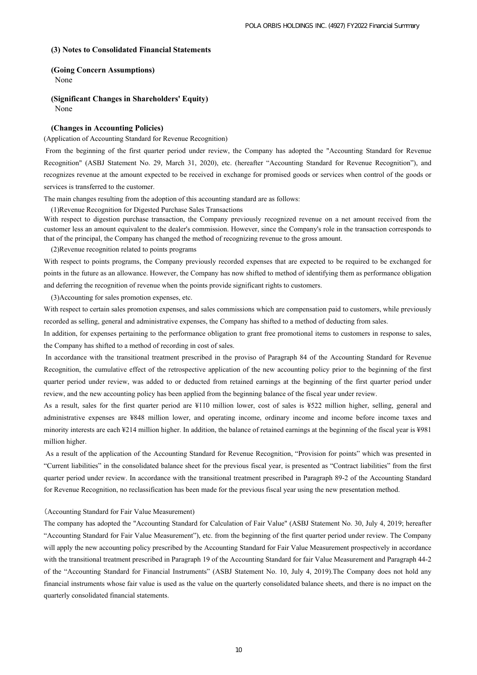#### **(3) Notes to Consolidated Financial Statements**

### **(Going Concern Assumptions)**

None

# **(Significant Changes in Shareholders' Equity)**

None

### **(Changes in Accounting Policies)**

#### (Application of Accounting Standard for Revenue Recognition)

 From the beginning of the first quarter period under review, the Company has adopted the "Accounting Standard for Revenue Recognition" (ASBJ Statement No. 29, March 31, 2020), etc. (hereafter "Accounting Standard for Revenue Recognition"), and recognizes revenue at the amount expected to be received in exchange for promised goods or services when control of the goods or services is transferred to the customer.

The main changes resulting from the adoption of this accounting standard are as follows:

(1)Revenue Recognition for Digested Purchase Sales Transactions

With respect to digestion purchase transaction, the Company previously recognized revenue on a net amount received from the customer less an amount equivalent to the dealer's commission. However, since the Company's role in the transaction corresponds to that of the principal, the Company has changed the method of recognizing revenue to the gross amount.

(2)Revenue recognition related to points programs

With respect to points programs, the Company previously recorded expenses that are expected to be required to be exchanged for points in the future as an allowance. However, the Company has now shifted to method of identifying them as performance obligation and deferring the recognition of revenue when the points provide significant rights to customers.

(3)Accounting for sales promotion expenses, etc.

With respect to certain sales promotion expenses, and sales commissions which are compensation paid to customers, while previously recorded as selling, general and administrative expenses, the Company has shifted to a method of deducting from sales.

In addition, for expenses pertaining to the performance obligation to grant free promotional items to customers in response to sales, the Company has shifted to a method of recording in cost of sales.

 In accordance with the transitional treatment prescribed in the proviso of Paragraph 84 of the Accounting Standard for Revenue Recognition, the cumulative effect of the retrospective application of the new accounting policy prior to the beginning of the first quarter period under review, was added to or deducted from retained earnings at the beginning of the first quarter period under review, and the new accounting policy has been applied from the beginning balance of the fiscal year under review.

As a result, sales for the first quarter period are ¥110 million lower, cost of sales is ¥522 million higher, selling, general and administrative expenses are ¥848 million lower, and operating income, ordinary income and income before income taxes and minority interests are each ¥214 million higher. In addition, the balance of retained earnings at the beginning of the fiscal year is ¥981 million higher.

 As a result of the application of the Accounting Standard for Revenue Recognition, "Provision for points" which was presented in "Current liabilities" in the consolidated balance sheet for the previous fiscal year, is presented as "Contract liabilities" from the first quarter period under review. In accordance with the transitional treatment prescribed in Paragraph 89-2 of the Accounting Standard for Revenue Recognition, no reclassification has been made for the previous fiscal year using the new presentation method.

### (Accounting Standard for Fair Value Measurement)

The company has adopted the "Accounting Standard for Calculation of Fair Value" (ASBJ Statement No. 30, July 4, 2019; hereafter "Accounting Standard for Fair Value Measurement"), etc. from the beginning of the first quarter period under review. The Company will apply the new accounting policy prescribed by the Accounting Standard for Fair Value Measurement prospectively in accordance with the transitional treatment prescribed in Paragraph 19 of the Accounting Standard for fair Value Measurement and Paragraph 44-2 of the "Accounting Standard for Financial Instruments" (ASBJ Statement No. 10, July 4, 2019).The Company does not hold any financial instruments whose fair value is used as the value on the quarterly consolidated balance sheets, and there is no impact on the quarterly consolidated financial statements.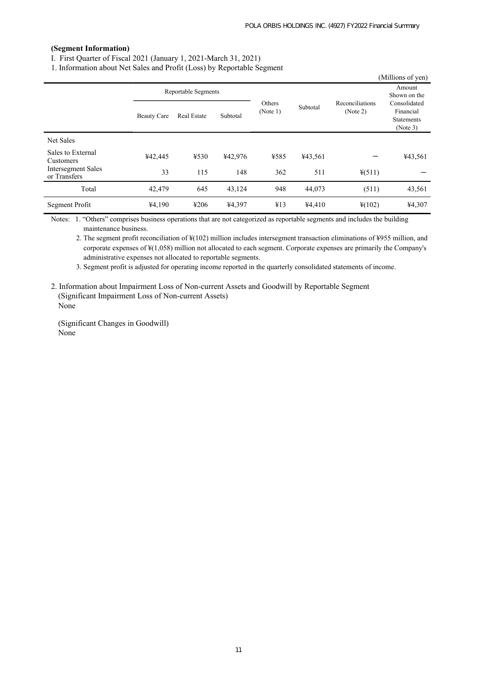### **(Segment Information)**

Ⅰ. First Quarter of Fiscal 2021 (January 1, 2021-March 31, 2021)

1. Information about Net Sales and Profit (Loss) by Reportable Segment

|                                           |                    | , ,                 | $\mathbf{I}$ | $\circ$            |                                         |                                                            | (Millions of yen)      |
|-------------------------------------------|--------------------|---------------------|--------------|--------------------|-----------------------------------------|------------------------------------------------------------|------------------------|
|                                           |                    | Reportable Segments |              |                    |                                         |                                                            | Amount<br>Shown on the |
|                                           | <b>Beauty Care</b> | Real Estate         | Subtotal     | Others<br>(Note 1) | Reconciliations<br>Subtotal<br>(Note 2) | Consolidated<br>Financial<br><b>Statements</b><br>(Note 3) |                        |
| Net Sales                                 |                    |                     |              |                    |                                         |                                                            |                        |
| Sales to External<br>Customers            | ¥42,445            | ¥530                | ¥42,976      | ¥585               | ¥43,561                                 |                                                            | ¥43,561                |
| <b>Intersegment Sales</b><br>or Transfers | 33                 | 115                 | 148          | 362                | 511                                     | $\frac{1}{2}(511)$                                         |                        |
| Total                                     | 42,479             | 645                 | 43,124       | 948                | 44,073                                  | (511)                                                      | 43,561                 |
| Segment Profit                            | ¥4,190             | ¥206                | ¥4,397       | ¥13                | ¥4,410                                  | $*(102)$                                                   | ¥4,307                 |

Notes: 1. "Others" comprises business operations that are not categorized as reportable segments and includes the building maintenance business.

2. The segment profit reconciliation of ¥(102) million includes intersegment transaction eliminations of ¥955 million, and corporate expenses of ¥(1,058) million not allocated to each segment. Corporate expenses are primarily the Company's administrative expenses not allocated to reportable segments.

3. Segment profit is adjusted for operating income reported in the quarterly consolidated statements of income.

2. Information about Impairment Loss of Non-current Assets and Goodwill by Reportable Segment (Significant Impairment Loss of Non-current Assets) None

(Significant Changes in Goodwill) None